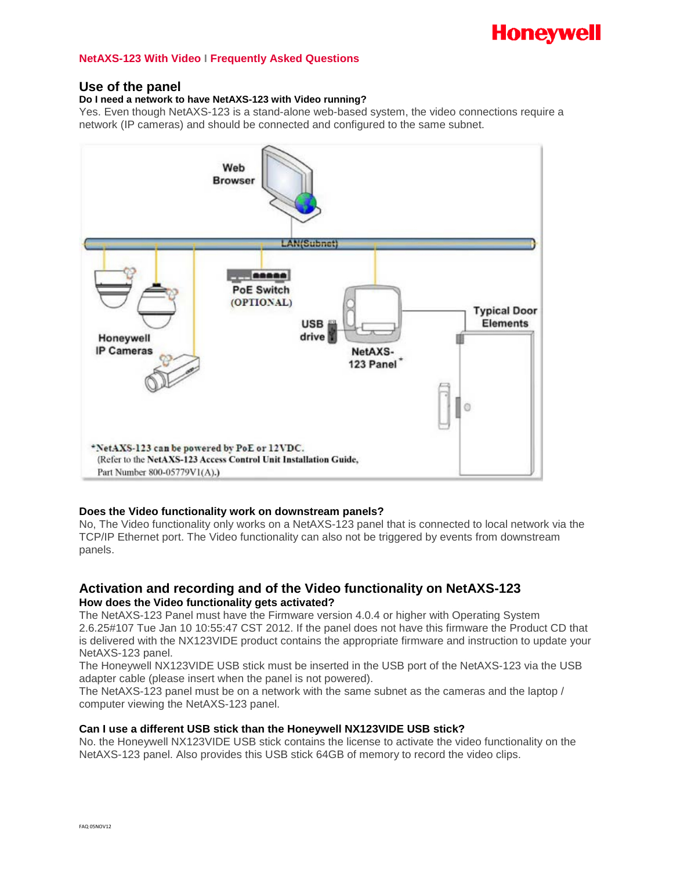

# **NetAXS-123 With Video I Frequently Asked Questions**

# **Use of the panel**

## **Do I need a network to have NetAXS-123 with Video running?**

Yes. Even though NetAXS-123 is a stand-alone web-based system, the video connections require a network (IP cameras) and should be connected and configured to the same subnet.



#### **Does the Video functionality work on downstream panels?**

No, The Video functionality only works on a NetAXS-123 panel that is connected to local network via the TCP/IP Ethernet port. The Video functionality can also not be triggered by events from downstream panels.

# **Activation and recording and of the Video functionality on NetAXS-123 How does the Video functionality gets activated?**

The NetAXS-123 Panel must have the Firmware version 4.0.4 or higher with Operating System 2.6.25#107 Tue Jan 10 10:55:47 CST 2012. If the panel does not have this firmware the Product CD that is delivered with the NX123VIDE product contains the appropriate firmware and instruction to update your NetAXS-123 panel.

The Honeywell NX123VIDE USB stick must be inserted in the USB port of the NetAXS-123 via the USB adapter cable (please insert when the panel is not powered).

The NetAXS-123 panel must be on a network with the same subnet as the cameras and the laptop / computer viewing the NetAXS-123 panel.

# **Can I use a different USB stick than the Honeywell NX123VIDE USB stick?**

No. the Honeywell NX123VIDE USB stick contains the license to activate the video functionality on the NetAXS-123 panel. Also provides this USB stick 64GB of memory to record the video clips.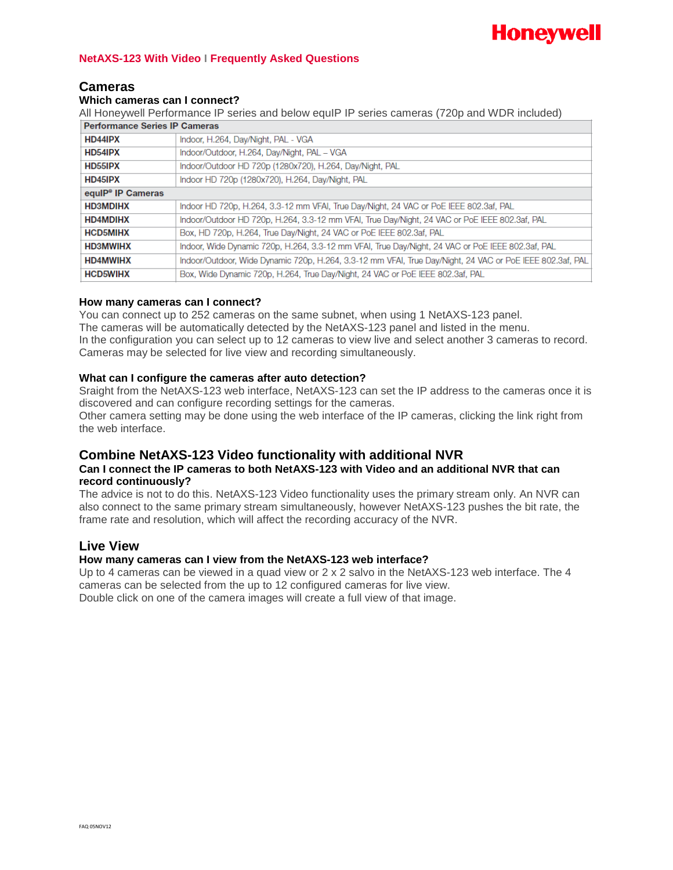

# **NetAXS-123 With Video I Frequently Asked Questions**

# **Cameras**

#### **Which cameras can I connect?**

All Honeywell Performance IP series and below equIP IP series cameras (720p and WDR included)

| <b>Performance Series IP Cameras</b> |                                                                                                           |
|--------------------------------------|-----------------------------------------------------------------------------------------------------------|
| HD44IPX                              | Indoor, H.264, Day/Night, PAL - VGA                                                                       |
| HD54IPX                              | Indoor/Outdoor, H.264, Day/Night, PAL - VGA                                                               |
| <b>HD55IPX</b>                       | Indoor/Outdoor HD 720p (1280x720), H.264, Day/Night, PAL                                                  |
| HD45IPX                              | Indoor HD 720p (1280x720), H.264, Day/Night, PAL                                                          |
| equiP <sup>®</sup> IP Cameras        |                                                                                                           |
| <b>HD3MDIHX</b>                      | Indoor HD 720p, H.264, 3.3-12 mm VFAI, True Day/Night, 24 VAC or PoE IEEE 802.3af, PAL                    |
| <b>HD4MDIHX</b>                      | Indoor/Outdoor HD 720p, H.264, 3.3-12 mm VFAI, True Day/Night, 24 VAC or PoE IEEE 802.3af, PAL            |
| <b>HCD5MIHX</b>                      | Box, HD 720p, H.264, True Day/Night, 24 VAC or PoE IEEE 802.3af, PAL                                      |
| <b>HD3MWIHX</b>                      | Indoor, Wide Dynamic 720p, H.264, 3.3-12 mm VFAI, True Day/Night, 24 VAC or PoE IEEE 802.3af, PAL         |
| <b>HD4MWIHX</b>                      | Indoor/Outdoor, Wide Dynamic 720p, H.264, 3.3-12 mm VFAI, True Day/Night, 24 VAC or PoE IEEE 802.3af, PAL |
| <b>HCD5WIHX</b>                      | Box, Wide Dynamic 720p, H.264, True Day/Night, 24 VAC or PoE IEEE 802.3af, PAL                            |

## **How many cameras can I connect?**

You can connect up to 252 cameras on the same subnet, when using 1 NetAXS-123 panel. The cameras will be automatically detected by the NetAXS-123 panel and listed in the menu. In the configuration you can select up to 12 cameras to view live and select another 3 cameras to record. Cameras may be selected for live view and recording simultaneously.

## **What can I configure the cameras after auto detection?**

Sraight from the NetAXS-123 web interface, NetAXS-123 can set the IP address to the cameras once it is discovered and can configure recording settings for the cameras. Other camera setting may be done using the web interface of the IP cameras, clicking the link right from the web interface.

# **Combine NetAXS-123 Video functionality with additional NVR**

# **Can I connect the IP cameras to both NetAXS-123 with Video and an additional NVR that can record continuously?**

The advice is not to do this. NetAXS-123 Video functionality uses the primary stream only. An NVR can also connect to the same primary stream simultaneously, however NetAXS-123 pushes the bit rate, the frame rate and resolution, which will affect the recording accuracy of the NVR.

# **Live View**

# **How many cameras can I view from the NetAXS-123 web interface?**

Up to 4 cameras can be viewed in a quad view or 2 x 2 salvo in the NetAXS-123 web interface. The 4 cameras can be selected from the up to 12 configured cameras for live view. Double click on one of the camera images will create a full view of that image.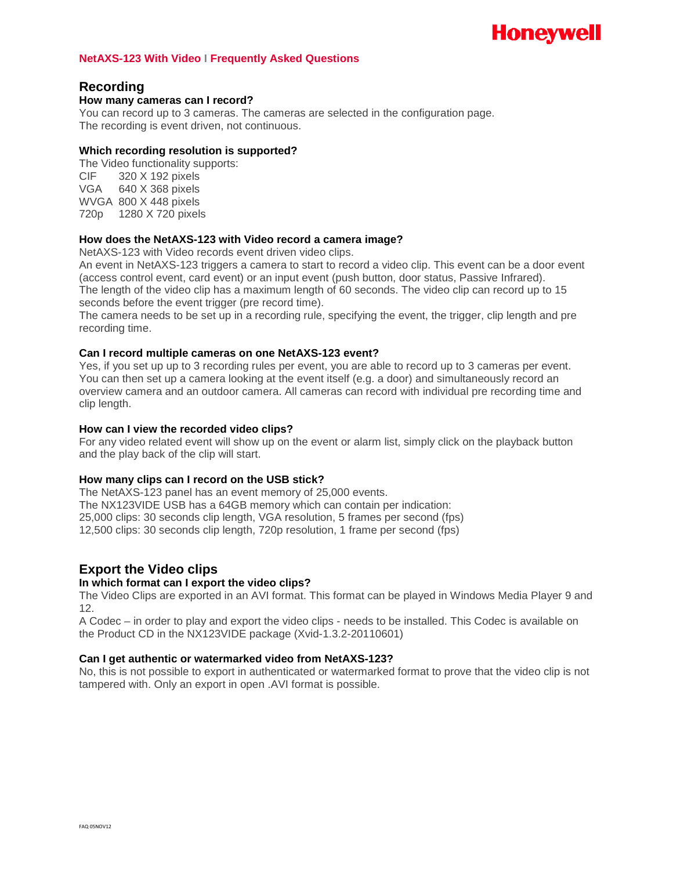# **Honeywell**

## **NetAXS-123 With Video I Frequently Asked Questions**

# **Recording**

## **How many cameras can I record?**

You can record up to 3 cameras. The cameras are selected in the configuration page. The recording is event driven, not continuous.

# **Which recording resolution is supported?**

The Video functionality supports: CIF 320 X 192 pixels VGA 640 X 368 pixels WVGA 800 X 448 pixels 720p 1280 X 720 pixels

# **How does the NetAXS-123 with Video record a camera image?**

NetAXS-123 with Video records event driven video clips.

An event in NetAXS-123 triggers a camera to start to record a video clip. This event can be a door event (access control event, card event) or an input event (push button, door status, Passive Infrared). The length of the video clip has a maximum length of 60 seconds. The video clip can record up to 15 seconds before the event trigger (pre record time).

The camera needs to be set up in a recording rule, specifying the event, the trigger, clip length and pre recording time.

## **Can I record multiple cameras on one NetAXS-123 event?**

Yes, if you set up up to 3 recording rules per event, you are able to record up to 3 cameras per event. You can then set up a camera looking at the event itself (e.g. a door) and simultaneously record an overview camera and an outdoor camera. All cameras can record with individual pre recording time and clip length.

## **How can I view the recorded video clips?**

For any video related event will show up on the event or alarm list, simply click on the playback button and the play back of the clip will start.

# **How many clips can I record on the USB stick?**

The NetAXS-123 panel has an event memory of 25,000 events. The NX123VIDE USB has a 64GB memory which can contain per indication: 25,000 clips: 30 seconds clip length, VGA resolution, 5 frames per second (fps) 12,500 clips: 30 seconds clip length, 720p resolution, 1 frame per second (fps)

# **Export the Video clips**

# **In which format can I export the video clips?**

The Video Clips are exported in an AVI format. This format can be played in Windows Media Player 9 and 12.

A Codec – in order to play and export the video clips - needs to be installed. This Codec is available on the Product CD in the NX123VIDE package (Xvid-1.3.2-20110601)

#### **Can I get authentic or watermarked video from NetAXS-123?**

No, this is not possible to export in authenticated or watermarked format to prove that the video clip is not tampered with. Only an export in open .AVI format is possible.